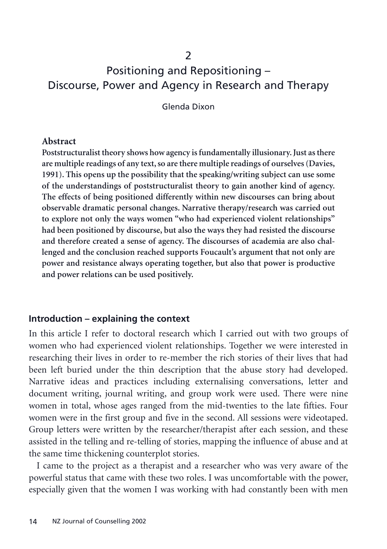### $\mathcal{P}$

# Positioning and Repositioning – Discourse, Power and Agency in Research and Therapy

Glenda Dixon

#### **Abstract**

**Poststructuralist theory shows how agency is fundamentally illusionary. Just as there are multiple readings of any text, so are there multiple readings of ourselves (Davies, 1991). This opens up the possibility that the speaking/writing subject can use some of the understandings of poststructuralist theory to gain another kind of agency. The effects of being positioned differently within new discourses can bring about observable dramatic personal changes. Narrative therapy/research was carried out to explore not only the ways women "who had experienced violent relationships" had been positioned by discourse, but also the ways they had resisted the discourse and therefore created a sense of agency. The discourses of academia are also challenged and the conclusion reached supports Foucault's argument that not only are power and resistance always operating together, but also that power is productive and power relations can be used positively.**

#### **Introduction – explaining the context**

In this article I refer to doctoral research which I carried out with two groups of women who had experienced violent relationships. Together we were interested in researching their lives in order to re-member the rich stories of their lives that had been left buried under the thin description that the abuse story had developed. Narrative ideas and practices including externalising conversations, letter and document writing, journal writing, and group work were used. There were nine women in total, whose ages ranged from the mid-twenties to the late fifties. Four women were in the first group and five in the second. All sessions were videotaped. Group letters were written by the researcher/therapist after each session, and these assisted in the telling and re-telling of stories, mapping the influence of abuse and at the same time thickening counterplot stories.

I came to the project as a therapist and a researcher who was very aware of the powerful status that came with these two roles. I was uncomfortable with the power, especially given that the women I was working with had constantly been with men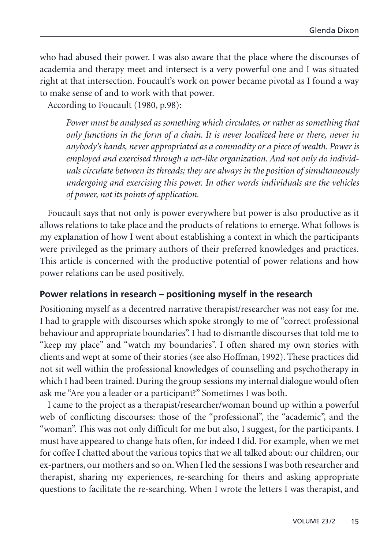who had abused their power. I was also aware that the place where the discourses of academia and therapy meet and intersect is a very powerful one and I was situated right at that intersection. Foucault's work on power became pivotal as I found a way to make sense of and to work with that power.

According to Foucault (1980, p.98):

*Power must be analysed as something which circulates, or rather as something that only functions in the form of a chain. It is never localized here or there, never in anybody's hands, never appropriated as a commodity or a piece of wealth. Power is employed and exercised through a net-like organization. And not only do individuals circulate between its threads; they are always in the position of simultaneously undergoing and exercising this power. In other words individuals are the vehicles of power, not its points of application.*

Foucault says that not only is power everywhere but power is also productive as it allows relations to take place and the products of relations to emerge. What follows is my explanation of how I went about establishing a context in which the participants were privileged as the primary authors of their preferred knowledges and practices. This article is concerned with the productive potential of power relations and how power relations can be used positively.

#### **Power relations in research – positioning myself in the research**

Positioning myself as a decentred narrative therapist/researcher was not easy for me. I had to grapple with discourses which spoke strongly to me of "correct professional behaviour and appropriate boundaries". I had to dismantle discourses that told me to "keep my place" and "watch my boundaries". I often shared my own stories with clients and wept at some of their stories (see also Hoffman, 1992). These practices did not sit well within the professional knowledges of counselling and psychotherapy in which I had been trained. During the group sessions my internal dialogue would often ask me "Are you a leader or a participant?" Sometimes I was both.

I came to the project as a therapist/researcher/woman bound up within a powerful web of conflicting discourses: those of the "professional", the "academic", and the "woman". This was not only difficult for me but also, I suggest, for the participants. I must have appeared to change hats often, for indeed I did. For example, when we met for coffee I chatted about the various topics that we all talked about: our children, our ex-partners, our mothers and so on. When I led the sessions I was both researcher and therapist, sharing my experiences, re-searching for theirs and asking appropriate questions to facilitate the re-searching. When I wrote the letters I was therapist, and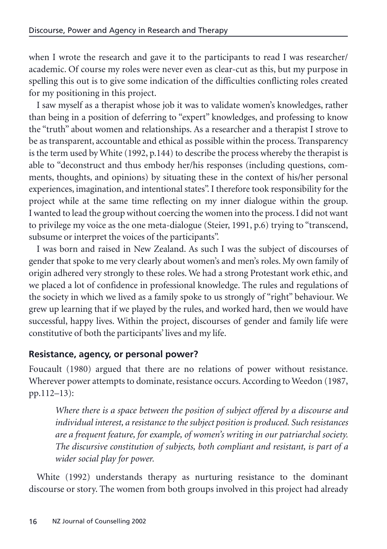when I wrote the research and gave it to the participants to read I was researcher/ academic. Of course my roles were never even as clear-cut as this, but my purpose in spelling this out is to give some indication of the difficulties conflicting roles created for my positioning in this project.

I saw myself as a therapist whose job it was to validate women's knowledges, rather than being in a position of deferring to "expert" knowledges, and professing to know the "truth" about women and relationships. As a researcher and a therapist I strove to be as transparent, accountable and ethical as possible within the process. Transparency is the term used by White (1992, p.144) to describe the process whereby the therapist is able to "deconstruct and thus embody her/his responses (including questions, comments, thoughts, and opinions) by situating these in the context of his/her personal experiences, imagination, and intentional states". I therefore took responsibility for the project while at the same time reflecting on my inner dialogue within the group. I wanted to lead the group without coercing the women into the process. I did not want to privilege my voice as the one meta-dialogue (Steier, 1991, p.6) trying to "transcend, subsume or interpret the voices of the participants".

I was born and raised in New Zealand. As such I was the subject of discourses of gender that spoke to me very clearly about women's and men's roles. My own family of origin adhered very strongly to these roles. We had a strong Protestant work ethic, and we placed a lot of confidence in professional knowledge. The rules and regulations of the society in which we lived as a family spoke to us strongly of "right" behaviour. We grew up learning that if we played by the rules, and worked hard, then we would have successful, happy lives. Within the project, discourses of gender and family life were constitutive of both the participants' lives and my life.

### **Resistance, agency, or personal power?**

Foucault (1980) argued that there are no relations of power without resistance. Wherever power attempts to dominate, resistance occurs. According to Weedon (1987, pp.112–13):

*Where there is a space between the position of subject offered by a discourse and individual interest, a resistance to the subject position is produced. Such resistances are a frequent feature, for example, of women's writing in our patriarchal society. The discursive constitution of subjects, both compliant and resistant, is part of a wider social play for power.*

White (1992) understands therapy as nurturing resistance to the dominant discourse or story. The women from both groups involved in this project had already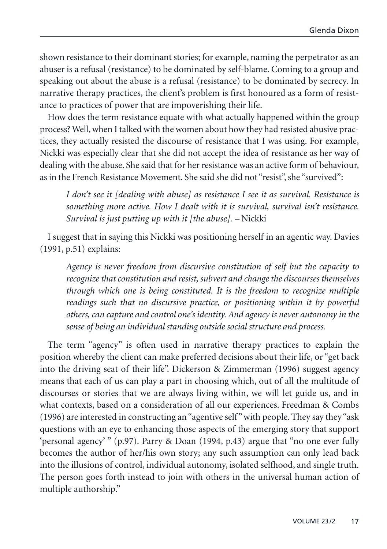shown resistance to their dominant stories; for example, naming the perpetrator as an abuser is a refusal (resistance) to be dominated by self-blame. Coming to a group and speaking out about the abuse is a refusal (resistance) to be dominated by secrecy. In narrative therapy practices, the client's problem is first honoured as a form of resistance to practices of power that are impoverishing their life.

How does the term resistance equate with what actually happened within the group process? Well, when I talked with the women about how they had resisted abusive practices, they actually resisted the discourse of resistance that I was using. For example, Nickki was especially clear that she did not accept the idea of resistance as her way of dealing with the abuse. She said that for her resistance was an active form of behaviour, as in the French Resistance Movement. She said she did not "resist", she "survived":

*I don't see it [dealing with abuse] as resistance I see it as survival. Resistance is something more active. How I dealt with it is survival, survival isn't resistance. Survival is just putting up with it [the abuse]. –* Nickki

I suggest that in saying this Nickki was positioning herself in an agentic way. Davies (1991, p.51) explains:

*Agency is never freedom from discursive constitution of self but the capacity to recognize that constitution and resist, subvert and change the discourses themselves through which one is being constituted. It is the freedom to recognize multiple readings such that no discursive practice, or positioning within it by powerful others, can capture and control one's identity. And agency is never autonomy in the sense of being an individual standing outside social structure and process.*

The term "agency" is often used in narrative therapy practices to explain the position whereby the client can make preferred decisions about their life, or "get back into the driving seat of their life". Dickerson & Zimmerman (1996) suggest agency means that each of us can play a part in choosing which, out of all the multitude of discourses or stories that we are always living within, we will let guide us, and in what contexts, based on a consideration of all our experiences. Freedman & Combs (1996) are interested in constructing an "agentive self" with people. They say they "ask questions with an eye to enhancing those aspects of the emerging story that support 'personal agency' " (p.97). Parry & Doan (1994, p.43) argue that "no one ever fully becomes the author of her/his own story; any such assumption can only lead back into the illusions of control, individual autonomy, isolated selfhood, and single truth. The person goes forth instead to join with others in the universal human action of multiple authorship."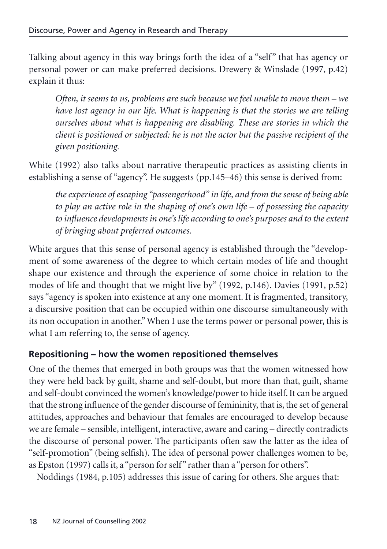Talking about agency in this way brings forth the idea of a "self" that has agency or personal power or can make preferred decisions. Drewery & Winslade (1997, p.42) explain it thus:

*Often, it seems to us, problems are such because we feel unable to move them – we have lost agency in our life. What is happening is that the stories we are telling ourselves about what is happening are disabling. These are stories in which the client is positioned or subjected: he is not the actor but the passive recipient of the given positioning.*

White (1992) also talks about narrative therapeutic practices as assisting clients in establishing a sense of "agency". He suggests (pp.145–46) this sense is derived from:

*the experience of escaping "passengerhood" in life, and from the sense of being able to play an active role in the shaping of one's own life – of possessing the capacity to influence developments in one's life according to one's purposes and to the extent of bringing about preferred outcomes.*

White argues that this sense of personal agency is established through the "development of some awareness of the degree to which certain modes of life and thought shape our existence and through the experience of some choice in relation to the modes of life and thought that we might live by" (1992, p.146). Davies (1991, p.52) says "agency is spoken into existence at any one moment. It is fragmented, transitory, a discursive position that can be occupied within one discourse simultaneously with its non occupation in another." When I use the terms power or personal power, this is what I am referring to, the sense of agency.

### **Repositioning – how the women repositioned themselves**

One of the themes that emerged in both groups was that the women witnessed how they were held back by guilt, shame and self-doubt, but more than that, guilt, shame and self-doubt convinced the women's knowledge/power to hide itself. It can be argued that the strong influence of the gender discourse of femininity, that is, the set of general attitudes, approaches and behaviour that females are encouraged to develop because we are female – sensible, intelligent, interactive, aware and caring – directly contradicts the discourse of personal power. The participants often saw the latter as the idea of "self-promotion" (being selfish). The idea of personal power challenges women to be, as Epston (1997) calls it, a "person for self" rather than a "person for others".

Noddings (1984, p.105) addresses this issue of caring for others. She argues that: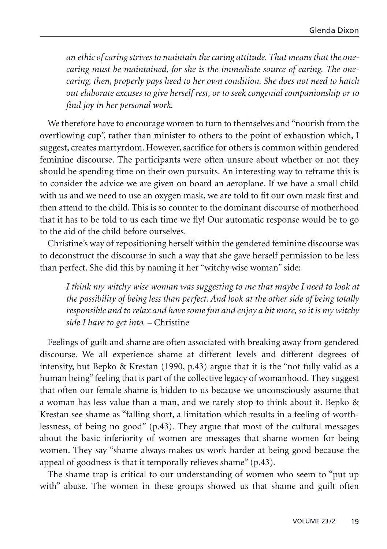*an ethic of caring strives to maintain the caring attitude. That means that the onecaring must be maintained, for she is the immediate source of caring. The onecaring, then, properly pays heed to her own condition. She does not need to hatch out elaborate excuses to give herself rest, or to seek congenial companionship or to find joy in her personal work.*

We therefore have to encourage women to turn to themselves and "nourish from the overflowing cup", rather than minister to others to the point of exhaustion which, I suggest, creates martyrdom. However, sacrifice for others is common within gendered feminine discourse. The participants were often unsure about whether or not they should be spending time on their own pursuits. An interesting way to reframe this is to consider the advice we are given on board an aeroplane. If we have a small child with us and we need to use an oxygen mask, we are told to fit our own mask first and then attend to the child. This is so counter to the dominant discourse of motherhood that it has to be told to us each time we fly! Our automatic response would be to go to the aid of the child before ourselves.

Christine's way of repositioning herself within the gendered feminine discourse was to deconstruct the discourse in such a way that she gave herself permission to be less than perfect. She did this by naming it her "witchy wise woman" side:

*I think my witchy wise woman was suggesting to me that maybe I need to look at the possibility of being less than perfect. And look at the other side of being totally responsible and to relax and have some fun and enjoy a bit more, so it is my witchy side I have to get into. –* Christine

Feelings of guilt and shame are often associated with breaking away from gendered discourse. We all experience shame at different levels and different degrees of intensity, but Bepko & Krestan (1990, p.43) argue that it is the "not fully valid as a human being" feeling that is part of the collective legacy of womanhood. They suggest that often our female shame is hidden to us because we unconsciously assume that a woman has less value than a man, and we rarely stop to think about it. Bepko & Krestan see shame as "falling short, a limitation which results in a feeling of worthlessness, of being no good" (p.43). They argue that most of the cultural messages about the basic inferiority of women are messages that shame women for being women. They say "shame always makes us work harder at being good because the appeal of goodness is that it temporally relieves shame" (p.43).

The shame trap is critical to our understanding of women who seem to "put up with" abuse. The women in these groups showed us that shame and guilt often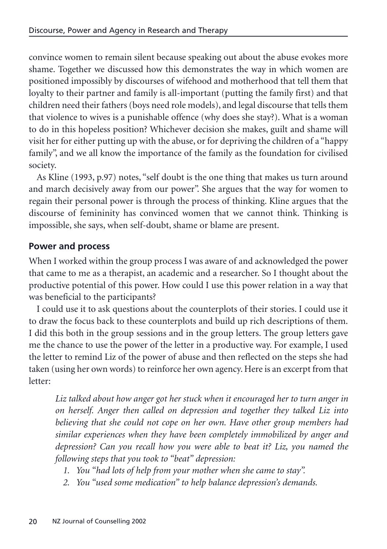convince women to remain silent because speaking out about the abuse evokes more shame. Together we discussed how this demonstrates the way in which women are positioned impossibly by discourses of wifehood and motherhood that tell them that loyalty to their partner and family is all-important (putting the family first) and that children need their fathers (boys need role models), and legal discourse that tells them that violence to wives is a punishable offence (why does she stay?). What is a woman to do in this hopeless position? Whichever decision she makes, guilt and shame will visit her for either putting up with the abuse, or for depriving the children of a "happy family", and we all know the importance of the family as the foundation for civilised society.

As Kline (1993, p.97) notes, "self doubt is the one thing that makes us turn around and march decisively away from our power". She argues that the way for women to regain their personal power is through the process of thinking. Kline argues that the discourse of femininity has convinced women that we cannot think. Thinking is impossible, she says, when self-doubt, shame or blame are present.

# **Power and process**

When I worked within the group process I was aware of and acknowledged the power that came to me as a therapist, an academic and a researcher. So I thought about the productive potential of this power. How could I use this power relation in a way that was beneficial to the participants?

I could use it to ask questions about the counterplots of their stories. I could use it to draw the focus back to these counterplots and build up rich descriptions of them. I did this both in the group sessions and in the group letters. The group letters gave me the chance to use the power of the letter in a productive way. For example, I used the letter to remind Liz of the power of abuse and then reflected on the steps she had taken (using her own words) to reinforce her own agency. Here is an excerpt from that letter:

*Liz talked about how anger got her stuck when it encouraged her to turn anger in on herself. Anger then called on depression and together they talked Liz into believing that she could not cope on her own. Have other group members had similar experiences when they have been completely immobilized by anger and depression? Can you recall how you were able to beat it? Liz, you named the following steps that you took to "beat" depression:*

- *1. You "had lots of help from your mother when she came to stay".*
- *2. You "used some medication" to help balance depression's demands.*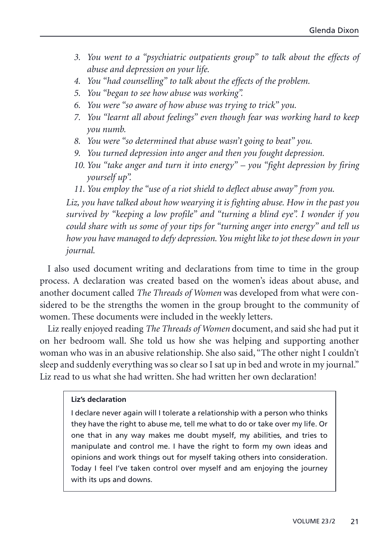- *3. You went to a "psychiatric outpatients group" to talk about the effects of abuse and depression on your life.*
- *4. You "had counselling" to talk about the effects of the problem.*
- *5. You "began to see how abuse was working".*
- *6. You were "so aware of how abuse was trying to trick" you.*
- *7. You "learnt all about feelings" even though fear was working hard to keep you numb.*
- *8. You were "so determined that abuse wasn't going to beat" you.*
- *9. You turned depression into anger and then you fought depression.*
- *10. You "take anger and turn it into energy" you "fight depression by firing yourself up".*
- *11. You employ the "use of a riot shield to deflect abuse away" from you.*

*Liz, you have talked about how wearying it is fighting abuse. How in the past you survived by "keeping a low profile" and "turning a blind eye". I wonder if you could share with us some of your tips for "turning anger into energy" and tell us how you have managed to defy depression. You might like to jot these down in your journal.*

I also used document writing and declarations from time to time in the group process. A declaration was created based on the women's ideas about abuse, and another document called *The Threads of Women* was developed from what were considered to be the strengths the women in the group brought to the community of women. These documents were included in the weekly letters.

Liz really enjoyed reading *The Threads of Women* document, and said she had put it on her bedroom wall. She told us how she was helping and supporting another woman who was in an abusive relationship. She also said, "The other night I couldn't sleep and suddenly everything was so clear so I sat up in bed and wrote in my journal." Liz read to us what she had written. She had written her own declaration!

#### **Liz's declaration**

I declare never again will I tolerate a relationship with a person who thinks they have the right to abuse me, tell me what to do or take over my life. Or one that in any way makes me doubt myself, my abilities, and tries to manipulate and control me. I have the right to form my own ideas and opinions and work things out for myself taking others into consideration. Today I feel I've taken control over myself and am enjoying the journey with its ups and downs.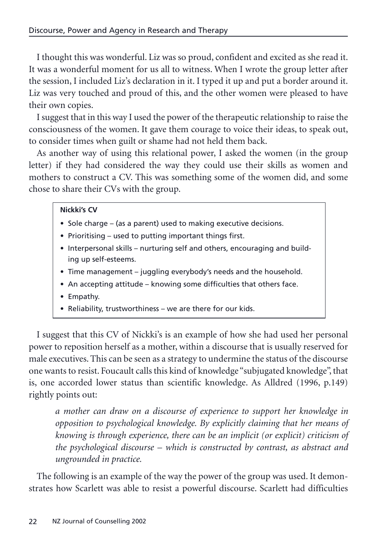I thought this was wonderful. Liz was so proud, confident and excited as she read it. It was a wonderful moment for us all to witness. When I wrote the group letter after the session, I included Liz's declaration in it. I typed it up and put a border around it. Liz was very touched and proud of this, and the other women were pleased to have their own copies.

I suggest that in this way I used the power of the therapeutic relationship to raise the consciousness of the women. It gave them courage to voice their ideas, to speak out, to consider times when guilt or shame had not held them back.

As another way of using this relational power, I asked the women (in the group letter) if they had considered the way they could use their skills as women and mothers to construct a CV. This was something some of the women did, and some chose to share their CVs with the group.

#### **Nickki's CV**

- Sole charge (as a parent) used to making executive decisions.
- Prioritising used to putting important things first.
- Interpersonal skills nurturing self and others, encouraging and building up self-esteems.
- Time management juggling everybody's needs and the household.
- An accepting attitude knowing some difficulties that others face.
- Empathy.
- Reliability, trustworthiness we are there for our kids.

I suggest that this CV of Nickki's is an example of how she had used her personal power to reposition herself as a mother, within a discourse that is usually reserved for male executives. This can be seen as a strategy to undermine the status of the discourse one wants to resist. Foucault calls this kind of knowledge "subjugated knowledge", that is, one accorded lower status than scientific knowledge. As Alldred (1996, p.149) rightly points out:

*a mother can draw on a discourse of experience to support her knowledge in opposition to psychological knowledge. By explicitly claiming that her means of knowing is through experience, there can be an implicit (or explicit) criticism of the psychological discourse – which is constructed by contrast, as abstract and ungrounded in practice.*

The following is an example of the way the power of the group was used. It demonstrates how Scarlett was able to resist a powerful discourse. Scarlett had difficulties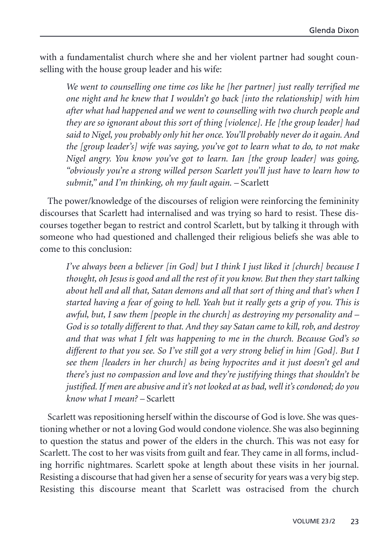with a fundamentalist church where she and her violent partner had sought counselling with the house group leader and his wife:

*We went to counselling one time cos like he [her partner] just really terrified me one night and he knew that I wouldn't go back [into the relationship] with him after what had happened and we went to counselling with two church people and they are so ignorant about this sort of thing [violence]. He [the group leader] had said to Nigel, you probably only hit her once. You'll probably never do it again. And the [group leader's] wife was saying, you've got to learn what to do, to not make Nigel angry. You know you've got to learn. Ian [the group leader] was going, "obviously you're a strong willed person Scarlett you'll just have to learn how to submit," and I'm thinking, oh my fault again. –* Scarlett

The power/knowledge of the discourses of religion were reinforcing the femininity discourses that Scarlett had internalised and was trying so hard to resist. These discourses together began to restrict and control Scarlett, but by talking it through with someone who had questioned and challenged their religious beliefs she was able to come to this conclusion:

*I've always been a believer [in God] but I think I just liked it [church] because I thought, oh Jesus is good and all the rest of it you know. But then they start talking about hell and all that, Satan demons and all that sort of thing and that's when I started having a fear of going to hell. Yeah but it really gets a grip of you. This is awful, but, I saw them [people in the church] as destroying my personality and – God is so totally different to that. And they say Satan came to kill, rob, and destroy and that was what I felt was happening to me in the church. Because God's so different to that you see. So I've still got a very strong belief in him [God]. But I see them [leaders in her church] as being hypocrites and it just doesn't gel and there's just no compassion and love and they're justifying things that shouldn't be justified. If men are abusive and it's not looked at as bad, well it's condoned; do you know what I mean? –* Scarlett

Scarlett was repositioning herself within the discourse of God is love. She was questioning whether or not a loving God would condone violence. She was also beginning to question the status and power of the elders in the church. This was not easy for Scarlett. The cost to her was visits from guilt and fear. They came in all forms, including horrific nightmares. Scarlett spoke at length about these visits in her journal. Resisting a discourse that had given her a sense of security for years was a very big step. Resisting this discourse meant that Scarlett was ostracised from the church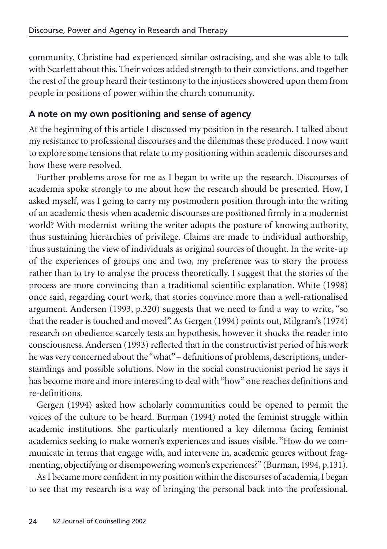community. Christine had experienced similar ostracising, and she was able to talk with Scarlett about this. Their voices added strength to their convictions, and together the rest of the group heard their testimony to the injustices showered upon them from people in positions of power within the church community.

# **A note on my own positioning and sense of agency**

At the beginning of this article I discussed my position in the research. I talked about my resistance to professional discourses and the dilemmas these produced. I now want to explore some tensions that relate to my positioning within academic discourses and how these were resolved.

Further problems arose for me as I began to write up the research. Discourses of academia spoke strongly to me about how the research should be presented. How, I asked myself, was I going to carry my postmodern position through into the writing of an academic thesis when academic discourses are positioned firmly in a modernist world? With modernist writing the writer adopts the posture of knowing authority, thus sustaining hierarchies of privilege. Claims are made to individual authorship, thus sustaining the view of individuals as original sources of thought. In the write-up of the experiences of groups one and two, my preference was to story the process rather than to try to analyse the process theoretically. I suggest that the stories of the process are more convincing than a traditional scientific explanation. White (1998) once said, regarding court work, that stories convince more than a well-rationalised argument. Andersen (1993, p.320) suggests that we need to find a way to write, "so that the reader is touched and moved". As Gergen (1994) points out, Milgram's (1974) research on obedience scarcely tests an hypothesis, however it shocks the reader into consciousness. Andersen (1993) reflected that in the constructivist period of his work he was very concerned about the "what" – definitions of problems, descriptions, understandings and possible solutions. Now in the social constructionist period he says it has become more and more interesting to deal with "how" one reaches definitions and re-definitions.

Gergen (1994) asked how scholarly communities could be opened to permit the voices of the culture to be heard. Burman (1994) noted the feminist struggle within academic institutions. She particularly mentioned a key dilemma facing feminist academics seeking to make women's experiences and issues visible. "How do we communicate in terms that engage with, and intervene in, academic genres without fragmenting, objectifying or disempowering women's experiences?" (Burman, 1994, p.131).

AsI became more confident in my position within the discourses of academia, I began to see that my research is a way of bringing the personal back into the professional.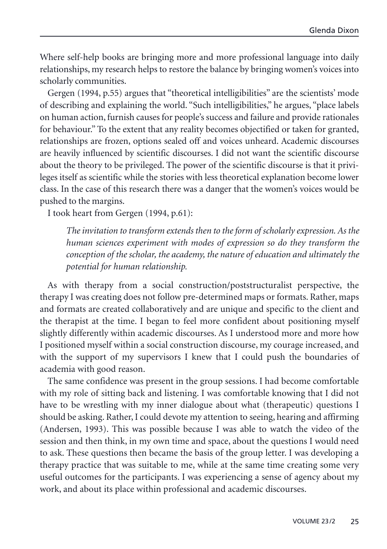Where self-help books are bringing more and more professional language into daily relationships, my research helps to restore the balance by bringing women's voices into scholarly communities.

Gergen (1994, p.55) argues that "theoretical intelligibilities" are the scientists' mode of describing and explaining the world. "Such intelligibilities," he argues, "place labels on human action, furnish causes for people's success and failure and provide rationales for behaviour." To the extent that any reality becomes objectified or taken for granted, relationships are frozen, options sealed off and voices unheard. Academic discourses are heavily influenced by scientific discourses. I did not want the scientific discourse about the theory to be privileged. The power of the scientific discourse is that it privileges itself as scientific while the stories with less theoretical explanation become lower class. In the case of this research there was a danger that the women's voices would be pushed to the margins.

I took heart from Gergen (1994, p.61):

*The invitation to transform extends then to the form of scholarly expression. As the human sciences experiment with modes of expression so do they transform the conception of the scholar, the academy, the nature of education and ultimately the potential for human relationship.*

As with therapy from a social construction/poststructuralist perspective, the therapy I was creating does not follow pre-determined maps or formats. Rather, maps and formats are created collaboratively and are unique and specific to the client and the therapist at the time. I began to feel more confident about positioning myself slightly differently within academic discourses. As I understood more and more how I positioned myself within a social construction discourse, my courage increased, and with the support of my supervisors I knew that I could push the boundaries of academia with good reason.

The same confidence was present in the group sessions. I had become comfortable with my role of sitting back and listening. I was comfortable knowing that I did not have to be wrestling with my inner dialogue about what (therapeutic) questions I should be asking. Rather, I could devote my attention to seeing, hearing and affirming (Andersen, 1993). This was possible because I was able to watch the video of the session and then think, in my own time and space, about the questions I would need to ask. These questions then became the basis of the group letter. I was developing a therapy practice that was suitable to me, while at the same time creating some very useful outcomes for the participants. I was experiencing a sense of agency about my work, and about its place within professional and academic discourses.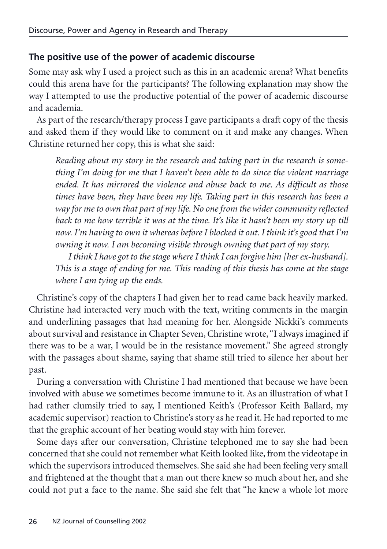# **The positive use of the power of academic discourse**

Some may ask why I used a project such as this in an academic arena? What benefits could this arena have for the participants? The following explanation may show the way I attempted to use the productive potential of the power of academic discourse and academia.

As part of the research/therapy process I gave participants a draft copy of the thesis and asked them if they would like to comment on it and make any changes. When Christine returned her copy, this is what she said:

*Reading about my story in the research and taking part in the research is something I'm doing for me that I haven't been able to do since the violent marriage ended. It has mirrored the violence and abuse back to me. As difficult as those times have been, they have been my life. Taking part in this research has been a way for me to own that part of my life. No one from the wider community reflected* back to me how terrible it was at the time. It's like it hasn't been my story up till *now. I'm having to own it whereas before I blocked it out. I think it's good that I'm owning it now. I am becoming visible through owning that part of my story.*

*I think I have got to the stage where I think I can forgive him [her ex-husband]. This is a stage of ending for me. This reading of this thesis has come at the stage where I am tying up the ends.*

Christine's copy of the chapters I had given her to read came back heavily marked. Christine had interacted very much with the text, writing comments in the margin and underlining passages that had meaning for her. Alongside Nickki's comments about survival and resistance in Chapter Seven, Christine wrote, "I always imagined if there was to be a war, I would be in the resistance movement." She agreed strongly with the passages about shame, saying that shame still tried to silence her about her past.

During a conversation with Christine I had mentioned that because we have been involved with abuse we sometimes become immune to it. As an illustration of what I had rather clumsily tried to say, I mentioned Keith's (Professor Keith Ballard, my academic supervisor) reaction to Christine's story as he read it. He had reported to me that the graphic account of her beating would stay with him forever.

Some days after our conversation, Christine telephoned me to say she had been concerned that she could not remember what Keith looked like, from the videotape in which the supervisors introduced themselves. She said she had been feeling very small and frightened at the thought that a man out there knew so much about her, and she could not put a face to the name. She said she felt that "he knew a whole lot more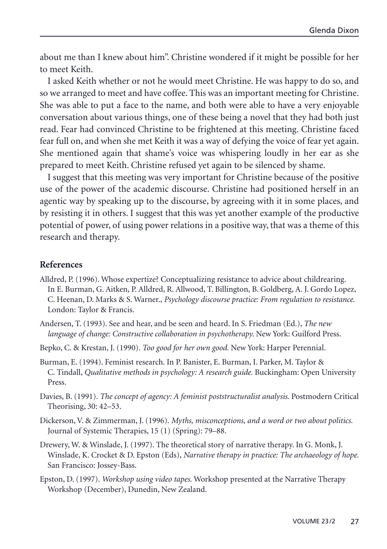about me than I knew about him". Christine wondered if it might be possible for her to meet Keith.

I asked Keith whether or not he would meet Christine. He was happy to do so, and so we arranged to meet and have coffee. This was an important meeting for Christine. She was able to put a face to the name, and both were able to have a very enjoyable conversation about various things, one of these being a novel that they had both just read. Fear had convinced Christine to be frightened at this meeting. Christine faced fear full on, and when she met Keith it was a way of defying the voice of fear yet again. She mentioned again that shame's voice was whispering loudly in her ear as she prepared to meet Keith. Christine refused yet again to be silenced by shame.

I suggest that this meeting was very important for Christine because of the positive use of the power of the academic discourse. Christine had positioned herself in an agentic way by speaking up to the discourse, by agreeing with it in some places, and by resisting it in others. I suggest that this was yet another example of the productive potential of power, of using power relations in a positive way, that was a theme of this research and therapy.

#### **References**

- Alldred, P. (1996). Whose expertize? Conceptualizing resistance to advice about childrearing. In E. Burman, G. Aitken, P. Alldred, R. Allwood, T. Billington, B. Goldberg, A. J. Gordo Lopez, C. Heenan, D. Marks & S. Warner., *Psychology discourse practice: From regulation to resistance.* London: Taylor & Francis.
- Andersen, T. (1993). See and hear, and be seen and heard. In S. Friedman (Ed.), *The new language of change: Constructive collaboration in psychotherapy.* New York: Guilford Press.
- Bepko, C. & Krestan, J. (1990). *Too good for her own good.* New York: Harper Perennial.
- Burman, E. (1994). Feminist research. In P. Banister, E. Burman, I. Parker, M. Taylor & C. Tindall, *Qualitative methods in psychology: A research guide.* Buckingham: Open University Press.
- Davies, B. (1991). *The concept of agency: A feminist poststructuralist analysis.* Postmodern Critical Theorising, 30: 42–53.
- Dickerson, V. & Zimmerman, J. (1996). *Myths, misconceptions, and a word or two about politics.* Journal of Systemic Therapies, 15 (1) (Spring): 79–88.
- Drewery, W. & Winslade, J. (1997). The theoretical story of narrative therapy. In G. Monk, J. Winslade, K. Crocket & D. Epston (Eds), *Narrative therapy in practice: The archaeology of hope.* San Francisco: Jossey-Bass.
- Epston, D. (1997). *Workshop using video tapes.* Workshop presented at the Narrative Therapy Workshop (December), Dunedin, New Zealand.